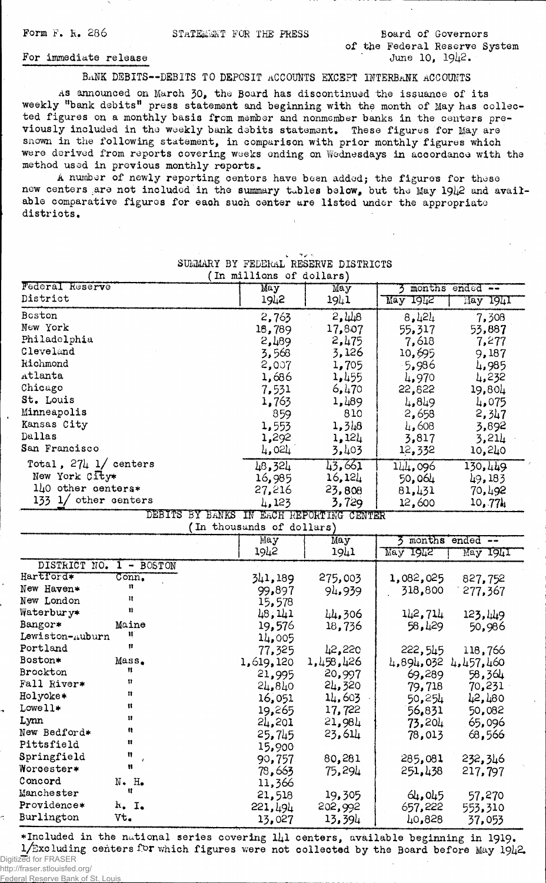Form F. R. 286 STATEMENT FOR THE PRESS Board of Governors

of the Federal Reserve System June 10.  $19\frac{1}{2}$ .

## For immediate release

BANK DEBITS--DEBITS TO DEPOSIT ACCOUNTS EXCEPT INTERBANK ACCOUNTS

As announced on March 30, the Board has discontinued the issuance of its weekly "bank debits" press statement and beginning with the month of May has collected figures on a monthly basis from member and nonmember banks in the centers previously included in the weekly bank debits statement. These figures for May are snown in the following statement, in comparison with prior monthly figures which were derived from reports covering weeks ending on Wednesdays in accordance with the method used in previous monthly reports.

A number of newly reporting centers have been added; the figures for these new centers are not included in the summary tables below, but the May 1942 and available comparative figures for each such center are listed under the appropriate distriots.

SUMMARY BY FEDERAL RESERVE DISTRICTS

| May<br>3<br>District<br>1942<br>May 1942<br>1941<br>May 1941<br>Boston<br>2,448<br>2,763<br>8,424<br>7,308<br>New York<br>18,789<br>17,807<br>55,317<br>53,887<br>Philadelphia<br>2,475<br>7,618<br>2,489<br>7,277<br>Cleveland<br>3,568<br>3,126<br>10,695<br>9,187<br>Richmond<br>2,007<br>1,705<br>$-5,986$<br>4,985<br>Atlanta<br>1,455<br>1,686<br>4,970<br>4,232<br>Chicago<br>7,531<br>6,470<br>22,822<br>19,804<br>St. Louis<br>1,489<br>1,763<br>4,849<br>4,075<br>Minneapolis<br>810<br>859<br>2,658<br>2,347<br>Kansas City<br>1,553<br>1,3 48<br>4,608<br>3,892<br>Dallas<br>1,292<br>1,124<br>3,817<br>3,214<br>San Francisco<br>3,403<br>4,024<br>12,332<br>10,240<br>Total, $27\frac{1}{2}$ 1/ centers<br>43,661<br>48,324<br>144,096<br>130,449<br>New York City*<br>16,124<br>16,985<br>50,064<br>49,183<br>$1\mu$ 0 other centers*<br>23,808<br>27,216<br>81,431<br>70,492<br>133 $1/$ other centers<br>3,729<br>4,123<br>12,600<br>10,774<br>BY BANKS IN EACH REPORTING CENTER<br><b>DEBITS</b><br>(In thousands of dollars)<br>3 months ended --<br>May<br>May<br>1942<br>1941<br>May 1942<br>May 1941<br>DISTRICT NO.<br>$1 - BOSTON$<br>Hartford*<br>$\overline{\mathtt{Conn}_{\bullet}}$<br>341,189<br>275,003<br>1,082,025<br>827,752<br>n<br>New Haven*<br>318,800<br>99,897<br>94.939<br>277,367<br>Ħ<br>New London<br>15,578<br>8<br>Waterbury*<br>48,141<br>142,714<br>44,306<br>123.449<br>Bangor*<br>Maine<br>19,576<br>58,429<br>18,736<br>50,986<br>Ħ<br>Lewiston-Auburn<br>14,005<br>Ħ<br>Portland<br>42,220<br>222,545<br>77,325<br>118,766<br>Boston*<br>Mass.<br>1,458,426<br>1,619,120<br>4,894,032 4,457,460<br>n<br>Brockton<br>20,997<br>69,289<br>58,364<br>21,995<br>n<br>Fall River*<br>24,320<br>70,231<br>24,840<br>79,718<br>n<br>Holyoke*<br>14,603<br>16,051<br>50,254<br>42,480<br>Ħ<br>Lowell*<br>17,722<br>19,265<br>56,831<br>50,082<br>Lynn<br>24,201<br>21,984<br>73,204<br>65,096<br>n<br>New Bedford*<br>23,614<br>25,745<br>68,566<br>78,013<br>n<br>Pittsfield<br>15,900<br>Ħ<br>Springfield<br>80,281<br>90,757<br>285,081<br>232,346<br>Ħ<br>Worcester*<br>78,663<br>75,294<br>251,438<br>217,797 | In millions of dollars) |        |        |                 |        |  |  |  |
|---------------------------------------------------------------------------------------------------------------------------------------------------------------------------------------------------------------------------------------------------------------------------------------------------------------------------------------------------------------------------------------------------------------------------------------------------------------------------------------------------------------------------------------------------------------------------------------------------------------------------------------------------------------------------------------------------------------------------------------------------------------------------------------------------------------------------------------------------------------------------------------------------------------------------------------------------------------------------------------------------------------------------------------------------------------------------------------------------------------------------------------------------------------------------------------------------------------------------------------------------------------------------------------------------------------------------------------------------------------------------------------------------------------------------------------------------------------------------------------------------------------------------------------------------------------------------------------------------------------------------------------------------------------------------------------------------------------------------------------------------------------------------------------------------------------------------------------------------------------------------------------------------------------------------------------------------------------------------------------------------------------------------------------------------------------------------------------------------------------------------------------------------------------|-------------------------|--------|--------|-----------------|--------|--|--|--|
|                                                                                                                                                                                                                                                                                                                                                                                                                                                                                                                                                                                                                                                                                                                                                                                                                                                                                                                                                                                                                                                                                                                                                                                                                                                                                                                                                                                                                                                                                                                                                                                                                                                                                                                                                                                                                                                                                                                                                                                                                                                                                                                                                               | Federal Reserve         | May    |        | months ended -- |        |  |  |  |
|                                                                                                                                                                                                                                                                                                                                                                                                                                                                                                                                                                                                                                                                                                                                                                                                                                                                                                                                                                                                                                                                                                                                                                                                                                                                                                                                                                                                                                                                                                                                                                                                                                                                                                                                                                                                                                                                                                                                                                                                                                                                                                                                                               |                         |        |        |                 |        |  |  |  |
|                                                                                                                                                                                                                                                                                                                                                                                                                                                                                                                                                                                                                                                                                                                                                                                                                                                                                                                                                                                                                                                                                                                                                                                                                                                                                                                                                                                                                                                                                                                                                                                                                                                                                                                                                                                                                                                                                                                                                                                                                                                                                                                                                               |                         |        |        |                 |        |  |  |  |
|                                                                                                                                                                                                                                                                                                                                                                                                                                                                                                                                                                                                                                                                                                                                                                                                                                                                                                                                                                                                                                                                                                                                                                                                                                                                                                                                                                                                                                                                                                                                                                                                                                                                                                                                                                                                                                                                                                                                                                                                                                                                                                                                                               |                         |        |        |                 |        |  |  |  |
|                                                                                                                                                                                                                                                                                                                                                                                                                                                                                                                                                                                                                                                                                                                                                                                                                                                                                                                                                                                                                                                                                                                                                                                                                                                                                                                                                                                                                                                                                                                                                                                                                                                                                                                                                                                                                                                                                                                                                                                                                                                                                                                                                               |                         |        |        |                 |        |  |  |  |
|                                                                                                                                                                                                                                                                                                                                                                                                                                                                                                                                                                                                                                                                                                                                                                                                                                                                                                                                                                                                                                                                                                                                                                                                                                                                                                                                                                                                                                                                                                                                                                                                                                                                                                                                                                                                                                                                                                                                                                                                                                                                                                                                                               |                         |        |        |                 |        |  |  |  |
|                                                                                                                                                                                                                                                                                                                                                                                                                                                                                                                                                                                                                                                                                                                                                                                                                                                                                                                                                                                                                                                                                                                                                                                                                                                                                                                                                                                                                                                                                                                                                                                                                                                                                                                                                                                                                                                                                                                                                                                                                                                                                                                                                               |                         |        |        |                 |        |  |  |  |
|                                                                                                                                                                                                                                                                                                                                                                                                                                                                                                                                                                                                                                                                                                                                                                                                                                                                                                                                                                                                                                                                                                                                                                                                                                                                                                                                                                                                                                                                                                                                                                                                                                                                                                                                                                                                                                                                                                                                                                                                                                                                                                                                                               |                         |        |        |                 |        |  |  |  |
|                                                                                                                                                                                                                                                                                                                                                                                                                                                                                                                                                                                                                                                                                                                                                                                                                                                                                                                                                                                                                                                                                                                                                                                                                                                                                                                                                                                                                                                                                                                                                                                                                                                                                                                                                                                                                                                                                                                                                                                                                                                                                                                                                               |                         |        |        |                 |        |  |  |  |
|                                                                                                                                                                                                                                                                                                                                                                                                                                                                                                                                                                                                                                                                                                                                                                                                                                                                                                                                                                                                                                                                                                                                                                                                                                                                                                                                                                                                                                                                                                                                                                                                                                                                                                                                                                                                                                                                                                                                                                                                                                                                                                                                                               |                         |        |        |                 |        |  |  |  |
|                                                                                                                                                                                                                                                                                                                                                                                                                                                                                                                                                                                                                                                                                                                                                                                                                                                                                                                                                                                                                                                                                                                                                                                                                                                                                                                                                                                                                                                                                                                                                                                                                                                                                                                                                                                                                                                                                                                                                                                                                                                                                                                                                               |                         |        |        |                 |        |  |  |  |
|                                                                                                                                                                                                                                                                                                                                                                                                                                                                                                                                                                                                                                                                                                                                                                                                                                                                                                                                                                                                                                                                                                                                                                                                                                                                                                                                                                                                                                                                                                                                                                                                                                                                                                                                                                                                                                                                                                                                                                                                                                                                                                                                                               |                         |        |        |                 |        |  |  |  |
|                                                                                                                                                                                                                                                                                                                                                                                                                                                                                                                                                                                                                                                                                                                                                                                                                                                                                                                                                                                                                                                                                                                                                                                                                                                                                                                                                                                                                                                                                                                                                                                                                                                                                                                                                                                                                                                                                                                                                                                                                                                                                                                                                               |                         |        |        |                 |        |  |  |  |
|                                                                                                                                                                                                                                                                                                                                                                                                                                                                                                                                                                                                                                                                                                                                                                                                                                                                                                                                                                                                                                                                                                                                                                                                                                                                                                                                                                                                                                                                                                                                                                                                                                                                                                                                                                                                                                                                                                                                                                                                                                                                                                                                                               |                         |        |        |                 |        |  |  |  |
|                                                                                                                                                                                                                                                                                                                                                                                                                                                                                                                                                                                                                                                                                                                                                                                                                                                                                                                                                                                                                                                                                                                                                                                                                                                                                                                                                                                                                                                                                                                                                                                                                                                                                                                                                                                                                                                                                                                                                                                                                                                                                                                                                               |                         |        |        |                 |        |  |  |  |
|                                                                                                                                                                                                                                                                                                                                                                                                                                                                                                                                                                                                                                                                                                                                                                                                                                                                                                                                                                                                                                                                                                                                                                                                                                                                                                                                                                                                                                                                                                                                                                                                                                                                                                                                                                                                                                                                                                                                                                                                                                                                                                                                                               |                         |        |        |                 |        |  |  |  |
|                                                                                                                                                                                                                                                                                                                                                                                                                                                                                                                                                                                                                                                                                                                                                                                                                                                                                                                                                                                                                                                                                                                                                                                                                                                                                                                                                                                                                                                                                                                                                                                                                                                                                                                                                                                                                                                                                                                                                                                                                                                                                                                                                               |                         |        |        |                 |        |  |  |  |
|                                                                                                                                                                                                                                                                                                                                                                                                                                                                                                                                                                                                                                                                                                                                                                                                                                                                                                                                                                                                                                                                                                                                                                                                                                                                                                                                                                                                                                                                                                                                                                                                                                                                                                                                                                                                                                                                                                                                                                                                                                                                                                                                                               |                         |        |        |                 |        |  |  |  |
|                                                                                                                                                                                                                                                                                                                                                                                                                                                                                                                                                                                                                                                                                                                                                                                                                                                                                                                                                                                                                                                                                                                                                                                                                                                                                                                                                                                                                                                                                                                                                                                                                                                                                                                                                                                                                                                                                                                                                                                                                                                                                                                                                               |                         |        |        |                 |        |  |  |  |
|                                                                                                                                                                                                                                                                                                                                                                                                                                                                                                                                                                                                                                                                                                                                                                                                                                                                                                                                                                                                                                                                                                                                                                                                                                                                                                                                                                                                                                                                                                                                                                                                                                                                                                                                                                                                                                                                                                                                                                                                                                                                                                                                                               |                         |        |        |                 |        |  |  |  |
|                                                                                                                                                                                                                                                                                                                                                                                                                                                                                                                                                                                                                                                                                                                                                                                                                                                                                                                                                                                                                                                                                                                                                                                                                                                                                                                                                                                                                                                                                                                                                                                                                                                                                                                                                                                                                                                                                                                                                                                                                                                                                                                                                               |                         |        |        |                 |        |  |  |  |
|                                                                                                                                                                                                                                                                                                                                                                                                                                                                                                                                                                                                                                                                                                                                                                                                                                                                                                                                                                                                                                                                                                                                                                                                                                                                                                                                                                                                                                                                                                                                                                                                                                                                                                                                                                                                                                                                                                                                                                                                                                                                                                                                                               |                         |        |        |                 |        |  |  |  |
|                                                                                                                                                                                                                                                                                                                                                                                                                                                                                                                                                                                                                                                                                                                                                                                                                                                                                                                                                                                                                                                                                                                                                                                                                                                                                                                                                                                                                                                                                                                                                                                                                                                                                                                                                                                                                                                                                                                                                                                                                                                                                                                                                               |                         |        |        |                 |        |  |  |  |
|                                                                                                                                                                                                                                                                                                                                                                                                                                                                                                                                                                                                                                                                                                                                                                                                                                                                                                                                                                                                                                                                                                                                                                                                                                                                                                                                                                                                                                                                                                                                                                                                                                                                                                                                                                                                                                                                                                                                                                                                                                                                                                                                                               |                         |        |        |                 |        |  |  |  |
|                                                                                                                                                                                                                                                                                                                                                                                                                                                                                                                                                                                                                                                                                                                                                                                                                                                                                                                                                                                                                                                                                                                                                                                                                                                                                                                                                                                                                                                                                                                                                                                                                                                                                                                                                                                                                                                                                                                                                                                                                                                                                                                                                               |                         |        |        |                 |        |  |  |  |
|                                                                                                                                                                                                                                                                                                                                                                                                                                                                                                                                                                                                                                                                                                                                                                                                                                                                                                                                                                                                                                                                                                                                                                                                                                                                                                                                                                                                                                                                                                                                                                                                                                                                                                                                                                                                                                                                                                                                                                                                                                                                                                                                                               |                         |        |        |                 |        |  |  |  |
|                                                                                                                                                                                                                                                                                                                                                                                                                                                                                                                                                                                                                                                                                                                                                                                                                                                                                                                                                                                                                                                                                                                                                                                                                                                                                                                                                                                                                                                                                                                                                                                                                                                                                                                                                                                                                                                                                                                                                                                                                                                                                                                                                               |                         |        |        |                 |        |  |  |  |
|                                                                                                                                                                                                                                                                                                                                                                                                                                                                                                                                                                                                                                                                                                                                                                                                                                                                                                                                                                                                                                                                                                                                                                                                                                                                                                                                                                                                                                                                                                                                                                                                                                                                                                                                                                                                                                                                                                                                                                                                                                                                                                                                                               |                         |        |        |                 |        |  |  |  |
|                                                                                                                                                                                                                                                                                                                                                                                                                                                                                                                                                                                                                                                                                                                                                                                                                                                                                                                                                                                                                                                                                                                                                                                                                                                                                                                                                                                                                                                                                                                                                                                                                                                                                                                                                                                                                                                                                                                                                                                                                                                                                                                                                               |                         |        |        |                 |        |  |  |  |
|                                                                                                                                                                                                                                                                                                                                                                                                                                                                                                                                                                                                                                                                                                                                                                                                                                                                                                                                                                                                                                                                                                                                                                                                                                                                                                                                                                                                                                                                                                                                                                                                                                                                                                                                                                                                                                                                                                                                                                                                                                                                                                                                                               |                         |        |        |                 |        |  |  |  |
|                                                                                                                                                                                                                                                                                                                                                                                                                                                                                                                                                                                                                                                                                                                                                                                                                                                                                                                                                                                                                                                                                                                                                                                                                                                                                                                                                                                                                                                                                                                                                                                                                                                                                                                                                                                                                                                                                                                                                                                                                                                                                                                                                               |                         |        |        |                 |        |  |  |  |
|                                                                                                                                                                                                                                                                                                                                                                                                                                                                                                                                                                                                                                                                                                                                                                                                                                                                                                                                                                                                                                                                                                                                                                                                                                                                                                                                                                                                                                                                                                                                                                                                                                                                                                                                                                                                                                                                                                                                                                                                                                                                                                                                                               |                         |        |        |                 |        |  |  |  |
|                                                                                                                                                                                                                                                                                                                                                                                                                                                                                                                                                                                                                                                                                                                                                                                                                                                                                                                                                                                                                                                                                                                                                                                                                                                                                                                                                                                                                                                                                                                                                                                                                                                                                                                                                                                                                                                                                                                                                                                                                                                                                                                                                               |                         |        |        |                 |        |  |  |  |
|                                                                                                                                                                                                                                                                                                                                                                                                                                                                                                                                                                                                                                                                                                                                                                                                                                                                                                                                                                                                                                                                                                                                                                                                                                                                                                                                                                                                                                                                                                                                                                                                                                                                                                                                                                                                                                                                                                                                                                                                                                                                                                                                                               |                         |        |        |                 |        |  |  |  |
|                                                                                                                                                                                                                                                                                                                                                                                                                                                                                                                                                                                                                                                                                                                                                                                                                                                                                                                                                                                                                                                                                                                                                                                                                                                                                                                                                                                                                                                                                                                                                                                                                                                                                                                                                                                                                                                                                                                                                                                                                                                                                                                                                               |                         |        |        |                 |        |  |  |  |
|                                                                                                                                                                                                                                                                                                                                                                                                                                                                                                                                                                                                                                                                                                                                                                                                                                                                                                                                                                                                                                                                                                                                                                                                                                                                                                                                                                                                                                                                                                                                                                                                                                                                                                                                                                                                                                                                                                                                                                                                                                                                                                                                                               |                         |        |        |                 |        |  |  |  |
|                                                                                                                                                                                                                                                                                                                                                                                                                                                                                                                                                                                                                                                                                                                                                                                                                                                                                                                                                                                                                                                                                                                                                                                                                                                                                                                                                                                                                                                                                                                                                                                                                                                                                                                                                                                                                                                                                                                                                                                                                                                                                                                                                               |                         |        |        |                 |        |  |  |  |
|                                                                                                                                                                                                                                                                                                                                                                                                                                                                                                                                                                                                                                                                                                                                                                                                                                                                                                                                                                                                                                                                                                                                                                                                                                                                                                                                                                                                                                                                                                                                                                                                                                                                                                                                                                                                                                                                                                                                                                                                                                                                                                                                                               |                         |        |        |                 |        |  |  |  |
|                                                                                                                                                                                                                                                                                                                                                                                                                                                                                                                                                                                                                                                                                                                                                                                                                                                                                                                                                                                                                                                                                                                                                                                                                                                                                                                                                                                                                                                                                                                                                                                                                                                                                                                                                                                                                                                                                                                                                                                                                                                                                                                                                               |                         |        |        |                 |        |  |  |  |
|                                                                                                                                                                                                                                                                                                                                                                                                                                                                                                                                                                                                                                                                                                                                                                                                                                                                                                                                                                                                                                                                                                                                                                                                                                                                                                                                                                                                                                                                                                                                                                                                                                                                                                                                                                                                                                                                                                                                                                                                                                                                                                                                                               |                         |        |        |                 |        |  |  |  |
|                                                                                                                                                                                                                                                                                                                                                                                                                                                                                                                                                                                                                                                                                                                                                                                                                                                                                                                                                                                                                                                                                                                                                                                                                                                                                                                                                                                                                                                                                                                                                                                                                                                                                                                                                                                                                                                                                                                                                                                                                                                                                                                                                               |                         |        |        |                 |        |  |  |  |
|                                                                                                                                                                                                                                                                                                                                                                                                                                                                                                                                                                                                                                                                                                                                                                                                                                                                                                                                                                                                                                                                                                                                                                                                                                                                                                                                                                                                                                                                                                                                                                                                                                                                                                                                                                                                                                                                                                                                                                                                                                                                                                                                                               | Concord<br>$N - Ho$     | 11,366 |        |                 |        |  |  |  |
| Ħ<br>Manchester<br>21,518<br>19,305<br>64,045<br>57,270                                                                                                                                                                                                                                                                                                                                                                                                                                                                                                                                                                                                                                                                                                                                                                                                                                                                                                                                                                                                                                                                                                                                                                                                                                                                                                                                                                                                                                                                                                                                                                                                                                                                                                                                                                                                                                                                                                                                                                                                                                                                                                       |                         |        |        |                 |        |  |  |  |
| Providence*<br>$k^*$ I.<br>221,494<br>202,992<br>657,222<br>553,310                                                                                                                                                                                                                                                                                                                                                                                                                                                                                                                                                                                                                                                                                                                                                                                                                                                                                                                                                                                                                                                                                                                                                                                                                                                                                                                                                                                                                                                                                                                                                                                                                                                                                                                                                                                                                                                                                                                                                                                                                                                                                           |                         |        |        |                 |        |  |  |  |
| Burlington<br>Vt.<br>13,027                                                                                                                                                                                                                                                                                                                                                                                                                                                                                                                                                                                                                                                                                                                                                                                                                                                                                                                                                                                                                                                                                                                                                                                                                                                                                                                                                                                                                                                                                                                                                                                                                                                                                                                                                                                                                                                                                                                                                                                                                                                                                                                                   |                         |        | 13,394 | 40,828          | 37,053 |  |  |  |

\*Included in the national series covering  $1/41$  centers, available beginning in 1919.  $1/Exc$  luding centers for which figures were not collected by the Board before May 1942. Digitized for FRASER

http://fraser.stlouisfed.org/

Federal Reserve Bank of St.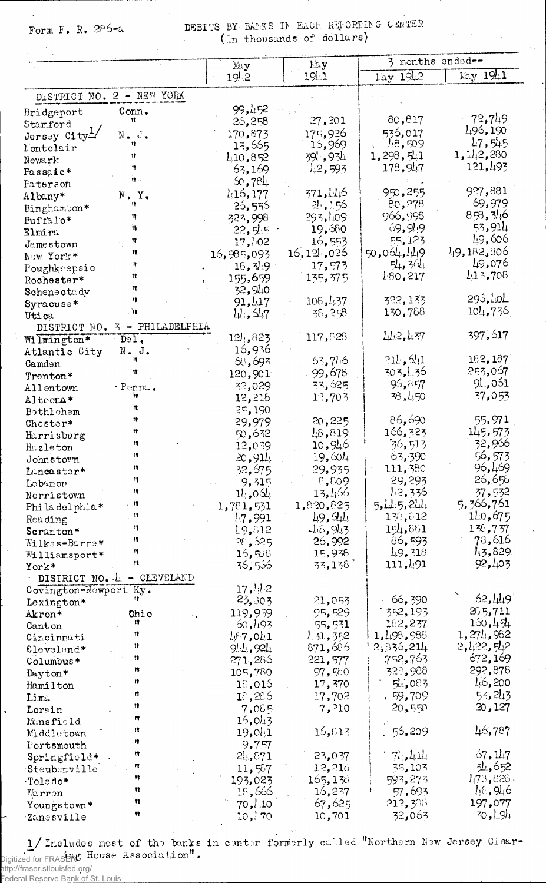Form F. R. 286-a

DEBITS BY BAMES IN EACH REPORTING CENTER (In thousands of dollars)

|                           |                               | May                    | Lay                | 3 months onded--     |                          |
|---------------------------|-------------------------------|------------------------|--------------------|----------------------|--------------------------|
|                           |                               | 19!2                   | 1941               | Lay 1942             | May 1941                 |
| DISTRICT NO. 2 - NEW YORK |                               |                        |                    |                      |                          |
| Bridgeport                | Conn.                         | 99,452                 |                    |                      |                          |
| Stamford                  | Ħ                             | 25,258                 | 27,201             | 80,817               | 73,749                   |
| Jersey City <sup>1</sup>  | $N - J$ .                     | 170,873                | 175,926            | 536,017              | 496,190                  |
| Montolair                 |                               | 15,655                 | 16,969             | 18,509               | 17, 515                  |
| Newark                    | 11                            | 410,852                | 39!.,934           | 1,298,541            | 1,142,280                |
| Passaic*                  | $\mathbf{12}$                 | 63,169                 | 1.2, 593           | 178,947              | 121,493                  |
| Paterson                  | $\mathbf{r}$                  | 60,784                 |                    |                      |                          |
| Albany*                   | $\mathbb{N}$ . Y.             | 1,16,177               | 371,446            | 950,255              | 927,881                  |
| Binghamton*               | 11                            | 26,556                 | 21,156             | 80,278               | 69,979                   |
| Buffalo*                  | Ħ<br>ïŧ.                      | 323,998                | 293,109            | 966,998              | 853,346<br>53,914        |
| Elmira                    |                               | 22,545                 | 19,680             | 69,949               | 49,606                   |
| Jamestown                 | 13<br>11                      | $17, l$ <sub>102</sub> | 16,553             | 55,123               | 49,182,806               |
| New York*                 | п                             | 16,985,093             | 16,125,026         | 50,064,149<br>54,364 | 49,076                   |
| Poughkeepsie              | Ħ                             | 18, 79                 | 17,573<br>135,375  | 180,217              | 113,708                  |
| Rochester*                | n                             | 155,659<br>32,940      |                    |                      |                          |
| Schenectady               | 11                            | 91,417                 | 108, l, 37         | 322,133              | 295, LO4                 |
| Syracuse*<br>Utica        | 'n                            | 11.647                 | 38,258             | 130,788              | 104,736                  |
| DISTRICT NO.              | PHILADELPHIA<br>$3 -$         |                        |                    |                      |                          |
| Wilmington*               | $\overline{D}e\overline{1}$ , | 124,823                | 117,828            | $L_{L2}$ , $L_{37}$  | 397, 617                 |
| Atlantic City             | N. J.                         | 16,936                 |                    |                      |                          |
| Camden                    |                               | 68,693.                | 63,746             | 211,641              | 182,187                  |
| Trenton*                  |                               | 120,901                | 99,678             | 303,436              | 253,067                  |
| Allentown                 | - Ponna.                      | 32,029                 | 33,625             | 95,857               | 91,051                   |
| Altoona*                  | Ħ                             | 12,218                 | 12,703             | 78,450               | 37,053                   |
| Bethlehem                 | π                             | 25,190                 |                    |                      |                          |
| Chester*                  | Ħ                             | 29,979                 | 20,225             | 86,690               | 55,971                   |
| Harrisburg                | Ħ                             | 50,632                 | 48,819             | 166,323              | 145,573                  |
| Hazleton                  | 11                            | 12,039                 | 10,915             | 36,513               | 32,966                   |
| Johnstown                 | Π.                            | 20, 911                | 19,601             | 63,390               | 56,573                   |
| Lancaster*                | Ħ<br>Ħ                        | 32,675                 | 29,935             | 111,380              | 96,469<br>26,658         |
| Lebanon                   | 11                            | 9,315                  | 8,609<br>13,456    | 29,293<br>L2,336     | 37,532                   |
| Norristown                | n                             | 11,061<br>1,781,531    | 1,820,825          | 5.415.244            | 5,366,761                |
| Philadelphia*             | Ħ                             | 1.7,991                | 49,644             | 138,812              | 140,675                  |
| Reading<br>Scranton*      | Ħ.                            | 19,812                 | 16, 913            | 154,881              | 136,737                  |
| Wilkes-Barre*             | 11                            | 28,525                 | 26,992             | 86,593               | 78,616                   |
| Williamsport*             | 11                            | 16,568                 | 15,938             | 49,318               | 43,829                   |
| York*                     | 12                            | 36,536                 | 33,138             | 111,491              | 92,403                   |
|                           | DISTRICT NO. 4 - CLEVELAND    |                        |                    |                      |                          |
| Covington-Nowport Ky.     |                               | 17,1/2                 |                    |                      |                          |
| Lexington*                |                               | 23,303                 | 21,053             | 66,390               | 62,449                   |
| Akron*                    | Ohio                          | 119,959                | 95,529             | 352,193              | 265,711                  |
| Canton                    | n<br>Ħ                        | 60, 193                | 55,531             | 182,237              | 150, 454                 |
| Cincinnati                | Ħ                             | $k \in 7$ ,041         | 431, 352           | 1,498,988            | 1, 274, 982<br>2,122,512 |
| Cleveland*                | n                             | 9!1,921                | 871,686<br>221,577 | 2,836,214<br>752,763 | 672,169                  |
| Columbus*                 | 12                            | 271,286<br>105,780     | 97,500             | 328,988              | 292,878                  |
| Dayton*<br>Hamilton       | Ħ                             | 10,015                 | 17,370             | 54,083               | 46,200                   |
| Lima                      | Ħ                             | 18,286                 | 17,702             | .59,709              | 53, 243                  |
| Lorain                    | Ħ                             | 7,085                  | 7,210              | 20,550               | 20,127                   |
| Mansfield                 | n                             | 16,043                 |                    |                      |                          |
| Middletown                | 12                            | 19,041                 | 16,613             | 56,209               | 46,787                   |
| Portsmouth                | n                             | 9,757                  |                    |                      |                          |
| Springfield*              | Ħ                             | 24,871                 | 23,037             | $7l_1, l_1 l_1$      | 67, 117                  |
| $\cdot$ Steubenville      | Ħ                             | 11,587                 | 12,218             | 35,103               | 34,652                   |
| $\cdot$ Toledo*           | n                             | 193,023                | 165,138            | 593,273              | 478,826.                 |
| Marron                    | Ħ                             | 18,666                 | 16,237             | 57,693               | 46,946                   |
| Youngstown*               | 13                            | $70, l_{1}10$          | 67,625             | 212,385              | 197,077                  |
| Zanesville                | Ħ                             | 10,470                 | 10,701             | 32,063               | 30,194                   |

1/Includes most of the banks in center formerly called "Northern New Jersey Clear-<br>Digitized for FRASHAC House Association".<br>http://fraser.stlouisfed.org/<br>Federal Reserve B<u>ank of</u> St. Louis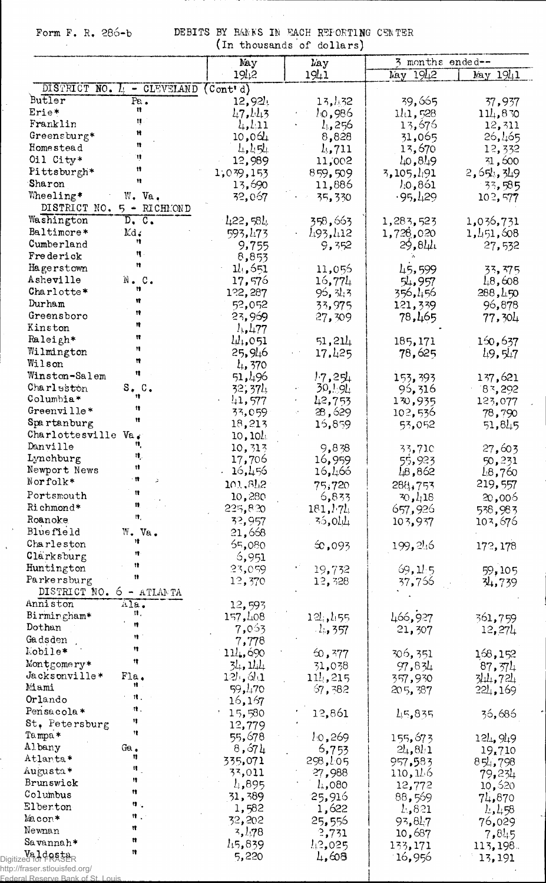Form F. R. 286-b DEBITS BY BANKS IN FACH REFORTING CENTER<br>(In thousands of dollars)

 $\hat{\mathcal{A}}$ 

|                                  |                            | May                              | tin chousands of dollars,<br><b>l</b> ay | 3 months ended--  |                                  |
|----------------------------------|----------------------------|----------------------------------|------------------------------------------|-------------------|----------------------------------|
|                                  |                            | 1912                             | 1941                                     | May 1942          | May 1941                         |
|                                  | DISTRICT NO. 4 - CLEVELAND | (Cont <sup>1</sup> d)            |                                          |                   |                                  |
| Butler                           | Pa <sub>o</sub><br>u       | 12,924                           | 13,432                                   | 39,665            | 37,937                           |
| Erie*                            |                            | 1.7.113                          | 10,986                                   | 111,528           | 114,830                          |
| Franklin                         | Ħ                          | $l_1, l_1$ 11                    | 4,256                                    | 13,676            | 12,311                           |
| Greensburg*<br>Homestead         | 11                         | 10,064                           | 8,828                                    | 31,065            | 26,465                           |
| Oil City*                        | Ħ                          | $l_1, l_2, l_3$                  | $l_{1}$ , 711                            | 13,670            | 12,332                           |
| Pittsburgh*                      | n                          | 12,989                           | 11,002                                   | 10, 819           | 31,600                           |
| Sharon                           | 11                         | 1,039,153<br>13,690              | 859,509<br>11,886                        | 3, 105, 491       | 2, 654, 349                      |
| Wheeling*                        | W. Va.                     | 32,067                           | 35,330                                   | 10,861<br>.95,129 | 33,585<br>102,577                |
| DISTRICT NO. 5 - RICHMOND        |                            |                                  |                                          |                   |                                  |
| Washington                       | D, C.                      | $l_{4}$ 22,58 $l_{\ddagger}$     | 358,663                                  | 1,283,523         | 1,036,731                        |
| Baltimore*                       | Md.                        | 593,473                          | 493,412                                  | 1,728,020         | 1,451,608                        |
| Cumberland                       | Ħ                          | 9,755                            | 9,352                                    | 29,811            | 27,532                           |
| Frederick                        | 11                         | 8,853                            |                                          |                   |                                  |
| Hagerstown                       | Ħ                          | 11,551                           | 11,056                                   | 45,599            | 33,375                           |
| Asheville                        | N.C.                       | 17,576                           | 16,774                                   | 54,957            | 1.8,608                          |
| Charlotte*                       | 11                         | 122,287                          | 95, 31, 3                                | 356,456           | 288,150                          |
| Durham                           | n                          | 52,052                           | 33,975                                   | 121,339           | 96,878                           |
| Greensboro                       | n                          | 23,969                           | 27,309                                   | 78,465            | 77,304                           |
| Kinston                          | 19                         | $l_{1}, l_{1}77$                 |                                          |                   |                                  |
| Raleigh*                         | Ħ                          | $\mu_{1,051}$                    | 51,214                                   | 185,171           | 160,637                          |
| Wilmington                       | 11                         | 25,946                           | 17,425                                   | 78,625            | 19.517                           |
| Wilson                           | Ħ                          | $l_{4}$ , 370                    |                                          |                   |                                  |
| Winston-Salem                    | Ħ                          | 51,496                           | 17,251                                   | 153,393           | 137,621                          |
| Charleston                       | S. C.                      | 32,374                           | 30,194                                   | 95,316            | 83,292                           |
| Columbia*                        | 11                         | 41,577                           | 42,753                                   | 130,935           | 123,077                          |
| Greenville*                      | n<br>Ħ                     | 33,059                           | 28,629                                   | 102,536           | 78,790                           |
| Spartanburg                      |                            | 18,213                           | 15,859                                   | 53,052            | 51,845                           |
| Charlottesville Va.              | 11.                        | 10, 10                           |                                          |                   |                                  |
| Danville                         | ц.                         | 10,313                           | 9,838                                    | 33,71C            | 27,603                           |
| Lynchburg                        | Ħ                          | 17,706                           | 16,959                                   | 55,923            | 50,231                           |
| Newport News<br>Norfolk*         | . 11                       | 16,456                           | 16,466                                   | 18,862            | 48,760                           |
|                                  | π                          | 101,81,2                         | 75,720                                   | 288,753           | 219,557                          |
| Portsmouth                       | 11,                        | 10,280                           | 6,833                                    | 30, 418           | 20,006                           |
| Richmond*                        | 件.                         | 225,820                          | 181, 171,                                | 657,926           | 538,983                          |
| Roanoke                          |                            | 32,957                           | 35,011                                   | 103,937           | 103,676                          |
| Bluefield                        | W. Va.<br>18               | 21,668                           |                                          |                   |                                  |
| Charleston                       | 11                         | 65,080                           | $\infty,093$                             | 199, 246          | 172, 178                         |
| Clarksburg                       | 19                         | 6,951                            |                                          |                   |                                  |
| Huntington<br>Parkersburg        | 11                         | 23,059                           | 19,732                                   | 69, 115           | 59,105                           |
| DISTRICT NO.                     |                            | 12,370                           | 12,328                                   | 37,756            | 34,739                           |
| Anniston                         | $6 - ATLANDTA$<br>Ala.     |                                  |                                          |                   |                                  |
| Birmingham*                      | П,                         | 12,593<br>157,408                |                                          |                   |                                  |
| Dothan                           | Ħ                          |                                  | 12,455                                   | 466,927           | 361,759                          |
| Gadsden                          | 19                         | 7,053                            | $-1.357$                                 | 21,307            | 12,274                           |
| Mobile*                          | Ħ                          | 7,778<br>$11\frac{1}{2}$ , 690   |                                          |                   |                                  |
| Montgomery*                      | 18                         | 34, 14                           | 60,377                                   | 306,351           | 168,152                          |
| Jacksonville*                    | Fla.                       | $12\frac{1}{2}$ , $3\frac{1}{2}$ | 31,038<br>111,215                        | 97,834            | 87, 571                          |
| Miami                            | Ħ                          | 59,470                           | 57,382                                   | 357,930           | 344,724                          |
| Orlando                          |                            | 16,167                           |                                          | 205,387           | 221,169                          |
| Pensacola*                       | 珠.                         | 15,580                           | 12,861                                   | 45,835            | 36,686                           |
| St. Petersburg                   | 11                         | 12,779                           |                                          |                   |                                  |
| Tampa*                           | Ħ                          | 55,678                           | 10,269                                   | 155,673           |                                  |
| Albany                           | Ga $_{\bullet}$            | 8,674                            | 6,753                                    | $2l_1, 8l_1$      | $12\frac{1}{2}$ , 9, 9<br>19,710 |
| Atlanta*                         | n                          | 335,071                          | 298,LO5                                  | 957,583           | 854,798                          |
| Augusta*                         | H.                         | 33,011                           | 27,988                                   | 110,146           | 79,234                           |
| Brunswick                        | n                          | 4,895                            | $l_{+}$ ,080                             | 12,772            | 10,520                           |
| Columbus                         | Ħ                          | 31,389                           | 25,916                                   | 88,569            | 74,870                           |
| Elberton                         | ч.                         | 1,582                            | 1,622                                    | 4,821             | 458                              |
| Macon*                           | $\mathfrak{m}$             | 32,202                           | 25,556                                   | 93,817            | 76,029                           |
| Newnan                           | Ħ                          | 3,178                            | 2,731                                    | 10,687            | 7,845                            |
| Savannah*                        | n                          | 1,5,839                          | 1.2,025                                  | 133,171           | 113, 198.                        |
| Valdesta                         | Ħ                          | 5,220                            | 4,608                                    | 16,956            | 13,191                           |
| http://fraser.stlouisfed.org/    |                            |                                  |                                          |                   |                                  |
| Federal Reserve Bank of St Louis |                            |                                  |                                          |                   |                                  |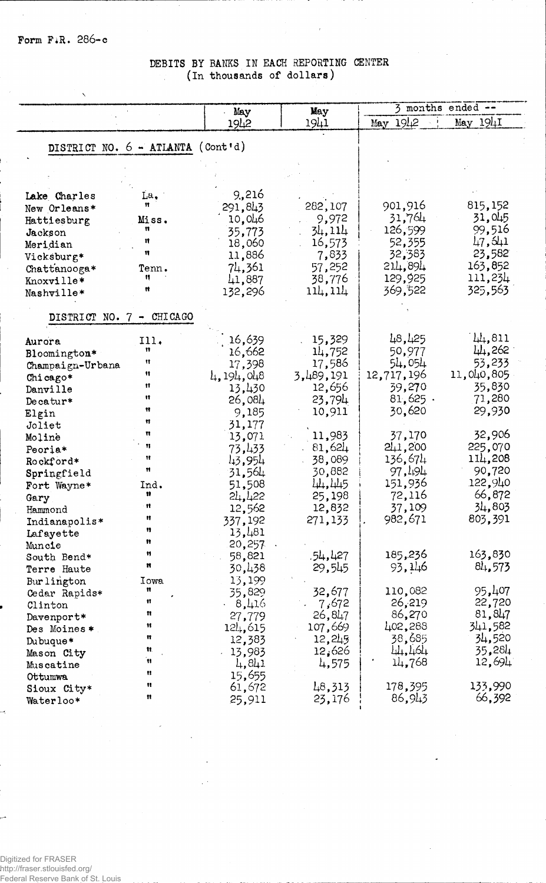## DEBITS BY BANKS IN EACH REPORTING CENTER (In thousands of dollars)  $\mathcal{L}_{\mathcal{A}}$

|                                   |           | May              | May       | $\frac{1}{2}$ months ended -- |            |
|-----------------------------------|-----------|------------------|-----------|-------------------------------|------------|
|                                   |           | 1942             | 1941      | 1912<br>May                   | May 1941   |
|                                   |           |                  |           |                               |            |
| DISTRICT NO. 6 - ATLANTA (Cont'd) |           |                  |           |                               |            |
|                                   |           |                  |           |                               |            |
|                                   |           |                  |           |                               |            |
| Lake Charles                      | La.       | 9,216            |           |                               |            |
| New Orleans*                      | Ħ         | 291,843          | 282,107   | 901,916                       | 815,152    |
| Hattiesburg                       | Miss.     | 10,046           | 9,972     | 31,764                        | 31.045     |
| Jackson                           | n         | 35,773           | 34,114    | 126,599                       | 99,516     |
| Meridian                          | n         | 18,060           | 16,573    | 52,355                        | 47,541     |
| Vicksburg*                        | 11        | 11,886           | 7,833     | 32,383                        | 23,582     |
| Chattanooga*                      | Tenn.     | 74,361           | 57,252    | 214,894                       | 163,852    |
| Knoxville*                        | n         | 41,887           | 38,776    | 129,925                       | 111,234    |
| Nashville*                        |           | 132,296          | 114, 114  | 369,522                       | 325,563    |
|                                   |           |                  |           |                               |            |
| DISTRICT NO. 7 - CHICAGO          |           |                  |           |                               |            |
| Aurora                            | 111.      | 16,639           | 15,329    | 48,425                        | $\mu$ ,811 |
| Bloomington*                      | Ħ         | 16,662           | 14,752    | 50,977                        | 44,262     |
| Champaign-Urbana                  | 11        | 17,398           | 17,586    | 54,054                        | 53,233     |
| Chicago*                          | 11        | 4,194,048        | 3,489,191 | 12,717,196                    | 11,040,805 |
| Danville                          | 11        | 13,430           | 12,656    | 39,270                        | 35,830     |
| Decatur*                          | Ħ         | 26,084           | 23,794    | $81,625$ .                    | 71,280     |
| Elgin                             | Ħ         | 9,185            | 10,911    | 30,620                        | 29,930     |
| Joliet                            | Ħ         | 31,177           |           |                               |            |
| Moline                            | π         | 13,071           | 11,983    | 37,170                        | 32,906     |
| Peoria*                           | 11        | 73,433           | 81,624    | 241,200                       | 225,070    |
| Rockford*                         | Ħ         | 43,954           | 38,089    | 136,674                       | 114,208    |
| Springfield                       | Ħ         | 31,564           | 30,882    | 97,494                        | 90,720     |
| Fort Wayne*                       | Ind.<br>Ħ | 51,508           | 44,445    | 151,936                       | 122,940    |
| Gary                              | 11        | 24,422           | 25,198    | 72,116                        | 66,872     |
| Hammond                           | Ħ         | 12,562           | 12,832    | 37,109                        | 34,803     |
| Indianapolis*                     | Ħ         | 337,192          | 271,133   | 982,671                       | 803,391    |
| Lafayette                         | 11        | 13,481           |           |                               |            |
| Muncie                            | Ħ         | 20,257<br>58,821 | 54,427.   | 185,236                       | 163,830    |
| South Bend*<br>Terre Haute        | Ħ         | 30,438           | 29,545    | 93,146                        | 81,573     |
|                                   | Iowa      | 13,199           |           |                               |            |
| Bur lington<br>Cedar Rapids*      | n         | 35,829           | 32,677    | 110,082                       | 95,407     |
| Clinton                           | Ħ         | 8,416            | 7,672     | 26,219                        | 22,720     |
| Davenport*                        | 11        | 27,779           | 26,847    | 86,270                        | 81,847     |
| Des Moines*                       | Ħ         | 124,615          | 107,669   | 402,288                       | 341,582    |
| Dubuque*                          | Ħ         | 12,383           | 12,245    | 38,685                        | 34,520     |
| Mason City                        | Ħ.        | 13,983           | 12,626    | 44,464                        | 35,284     |
| Muscatine                         | Ħ         | 4,841            | 4,575     | 14,768                        | 12,694     |
| Ottumwa                           | u         | 15,655           |           |                               |            |
| Sioux City*                       | Ħ         | 61,672           | 48,313    | 178,395                       | 133,990    |
| Waterloo*                         | n         | 25,911           | 23,176    | 86,943                        | 66,392     |

Digitized for FRASER<br>http://fraser.stlouisfed.org/<br>Federal Reserve Bank of St. Louis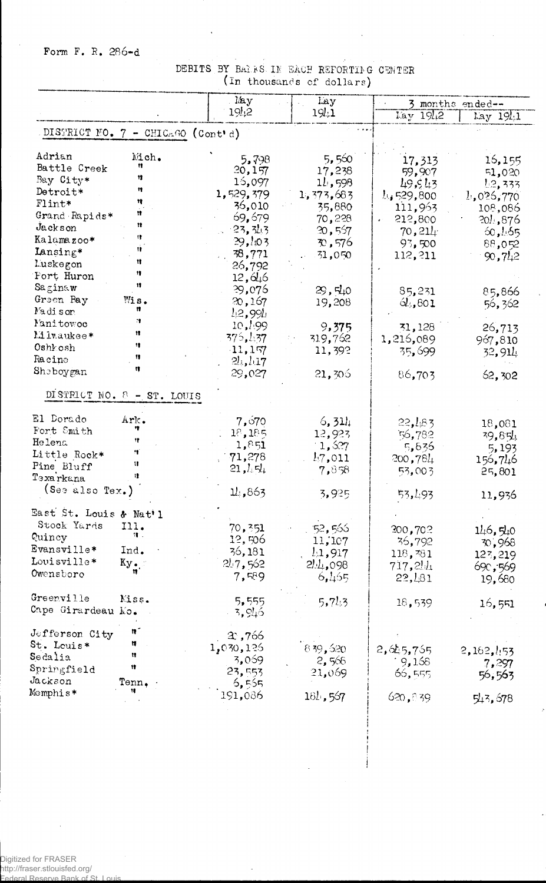## Form F. R. 286-d

## DEBITS BY BALES IN EACH REFORTING CENTER (In thousands of dollars)

| 1912<br>19!1<br>Lay 1942<br>DISTRICT NO. 7 - CHICAGO (Cont'd)<br>Adrian<br>Mich.<br>5,560<br>5,798<br>17,313<br>Ħ<br>Battle Creek<br>20,157<br>17,238<br>59,907<br>12<br>Bay City*<br>15,097<br>11,598<br>49,543<br>Ħ<br>Detroit*<br>1,529,379<br>1,373,683<br>14529,800<br>Ħ<br>Flint*<br>36,010<br>35,880<br>111,963<br>n<br>Grand Rapids*<br>69,679<br>70,228<br>212,800<br>e fil<br>n<br>Jackson<br>$-23, 343$<br>20,557<br>70, 211<br>17<br>Kalamazoo*<br>29,403<br>70,576<br>93,500<br>Ħ<br>Lansing*<br>38,771<br>31,050<br>112, 211<br>Ħ<br>Luskegon<br>26,792<br>绯<br>Port Huron<br>12,646<br>Ħ<br>Saginaw<br>29,076<br>29, 540<br>85,231<br>Green Bay<br>Mis.<br>20,167<br>19,208<br>61,801<br>Madison<br>n<br>$l_{\downarrow}$ 2,99 $l_{\downarrow}$<br>11<br>Manitowoo<br>10,199<br>9,375<br>31,128<br>11<br>Minaukee*<br>375,437<br>319,762<br>1,216,089<br>18<br>Oshkosh<br>11,157<br>11,392<br>35,699<br>11<br>Racine<br>$2l_{\rm b}l_{\rm d}7$<br>n<br>Sheboygan<br>29,027<br>21,306<br>86,703<br>DISTRICT NO. 8 - ST. LOUIS<br>El Dorado<br>Ark.<br>7,670<br>6,311<br>22,183<br>Fort Smith<br>18,185<br>12,923<br>56,782<br>Ħ<br>Helena<br>1,851<br>1,527<br>5,636<br>ŋ<br>Little Rock*<br>71,278<br>47,011<br>200,784<br>Ħ<br>Pine Bluff<br>21, $l_4$ न्र $\downarrow$<br>7,858<br>53,003<br>11<br>Texarkana<br>(See also Tex.)<br>1/1.863<br>3,925<br>53,493<br>East St. Louis & Nat'l<br>Stock Yards<br>111. | $\text{lay } 19 \downarrow 1$<br>16,155<br>51,020<br>1.2, 333<br>1.026,770<br>108,086<br>20!.876<br>60,165<br>88,052<br>90,742<br>85,866<br>56,362<br>26,713<br>967,810<br>32,914 |
|---------------------------------------------------------------------------------------------------------------------------------------------------------------------------------------------------------------------------------------------------------------------------------------------------------------------------------------------------------------------------------------------------------------------------------------------------------------------------------------------------------------------------------------------------------------------------------------------------------------------------------------------------------------------------------------------------------------------------------------------------------------------------------------------------------------------------------------------------------------------------------------------------------------------------------------------------------------------------------------------------------------------------------------------------------------------------------------------------------------------------------------------------------------------------------------------------------------------------------------------------------------------------------------------------------------------------------------------------------------------------------------------------------------------------------|-----------------------------------------------------------------------------------------------------------------------------------------------------------------------------------|
|                                                                                                                                                                                                                                                                                                                                                                                                                                                                                                                                                                                                                                                                                                                                                                                                                                                                                                                                                                                                                                                                                                                                                                                                                                                                                                                                                                                                                                 |                                                                                                                                                                                   |
|                                                                                                                                                                                                                                                                                                                                                                                                                                                                                                                                                                                                                                                                                                                                                                                                                                                                                                                                                                                                                                                                                                                                                                                                                                                                                                                                                                                                                                 |                                                                                                                                                                                   |
|                                                                                                                                                                                                                                                                                                                                                                                                                                                                                                                                                                                                                                                                                                                                                                                                                                                                                                                                                                                                                                                                                                                                                                                                                                                                                                                                                                                                                                 |                                                                                                                                                                                   |
|                                                                                                                                                                                                                                                                                                                                                                                                                                                                                                                                                                                                                                                                                                                                                                                                                                                                                                                                                                                                                                                                                                                                                                                                                                                                                                                                                                                                                                 |                                                                                                                                                                                   |
|                                                                                                                                                                                                                                                                                                                                                                                                                                                                                                                                                                                                                                                                                                                                                                                                                                                                                                                                                                                                                                                                                                                                                                                                                                                                                                                                                                                                                                 |                                                                                                                                                                                   |
|                                                                                                                                                                                                                                                                                                                                                                                                                                                                                                                                                                                                                                                                                                                                                                                                                                                                                                                                                                                                                                                                                                                                                                                                                                                                                                                                                                                                                                 |                                                                                                                                                                                   |
|                                                                                                                                                                                                                                                                                                                                                                                                                                                                                                                                                                                                                                                                                                                                                                                                                                                                                                                                                                                                                                                                                                                                                                                                                                                                                                                                                                                                                                 |                                                                                                                                                                                   |
|                                                                                                                                                                                                                                                                                                                                                                                                                                                                                                                                                                                                                                                                                                                                                                                                                                                                                                                                                                                                                                                                                                                                                                                                                                                                                                                                                                                                                                 |                                                                                                                                                                                   |
|                                                                                                                                                                                                                                                                                                                                                                                                                                                                                                                                                                                                                                                                                                                                                                                                                                                                                                                                                                                                                                                                                                                                                                                                                                                                                                                                                                                                                                 |                                                                                                                                                                                   |
|                                                                                                                                                                                                                                                                                                                                                                                                                                                                                                                                                                                                                                                                                                                                                                                                                                                                                                                                                                                                                                                                                                                                                                                                                                                                                                                                                                                                                                 |                                                                                                                                                                                   |
|                                                                                                                                                                                                                                                                                                                                                                                                                                                                                                                                                                                                                                                                                                                                                                                                                                                                                                                                                                                                                                                                                                                                                                                                                                                                                                                                                                                                                                 |                                                                                                                                                                                   |
|                                                                                                                                                                                                                                                                                                                                                                                                                                                                                                                                                                                                                                                                                                                                                                                                                                                                                                                                                                                                                                                                                                                                                                                                                                                                                                                                                                                                                                 |                                                                                                                                                                                   |
|                                                                                                                                                                                                                                                                                                                                                                                                                                                                                                                                                                                                                                                                                                                                                                                                                                                                                                                                                                                                                                                                                                                                                                                                                                                                                                                                                                                                                                 |                                                                                                                                                                                   |
|                                                                                                                                                                                                                                                                                                                                                                                                                                                                                                                                                                                                                                                                                                                                                                                                                                                                                                                                                                                                                                                                                                                                                                                                                                                                                                                                                                                                                                 |                                                                                                                                                                                   |
|                                                                                                                                                                                                                                                                                                                                                                                                                                                                                                                                                                                                                                                                                                                                                                                                                                                                                                                                                                                                                                                                                                                                                                                                                                                                                                                                                                                                                                 |                                                                                                                                                                                   |
|                                                                                                                                                                                                                                                                                                                                                                                                                                                                                                                                                                                                                                                                                                                                                                                                                                                                                                                                                                                                                                                                                                                                                                                                                                                                                                                                                                                                                                 |                                                                                                                                                                                   |
|                                                                                                                                                                                                                                                                                                                                                                                                                                                                                                                                                                                                                                                                                                                                                                                                                                                                                                                                                                                                                                                                                                                                                                                                                                                                                                                                                                                                                                 |                                                                                                                                                                                   |
|                                                                                                                                                                                                                                                                                                                                                                                                                                                                                                                                                                                                                                                                                                                                                                                                                                                                                                                                                                                                                                                                                                                                                                                                                                                                                                                                                                                                                                 |                                                                                                                                                                                   |
|                                                                                                                                                                                                                                                                                                                                                                                                                                                                                                                                                                                                                                                                                                                                                                                                                                                                                                                                                                                                                                                                                                                                                                                                                                                                                                                                                                                                                                 |                                                                                                                                                                                   |
|                                                                                                                                                                                                                                                                                                                                                                                                                                                                                                                                                                                                                                                                                                                                                                                                                                                                                                                                                                                                                                                                                                                                                                                                                                                                                                                                                                                                                                 |                                                                                                                                                                                   |
|                                                                                                                                                                                                                                                                                                                                                                                                                                                                                                                                                                                                                                                                                                                                                                                                                                                                                                                                                                                                                                                                                                                                                                                                                                                                                                                                                                                                                                 | 62,302                                                                                                                                                                            |
|                                                                                                                                                                                                                                                                                                                                                                                                                                                                                                                                                                                                                                                                                                                                                                                                                                                                                                                                                                                                                                                                                                                                                                                                                                                                                                                                                                                                                                 |                                                                                                                                                                                   |
|                                                                                                                                                                                                                                                                                                                                                                                                                                                                                                                                                                                                                                                                                                                                                                                                                                                                                                                                                                                                                                                                                                                                                                                                                                                                                                                                                                                                                                 | 18,081                                                                                                                                                                            |
|                                                                                                                                                                                                                                                                                                                                                                                                                                                                                                                                                                                                                                                                                                                                                                                                                                                                                                                                                                                                                                                                                                                                                                                                                                                                                                                                                                                                                                 | 39,854                                                                                                                                                                            |
|                                                                                                                                                                                                                                                                                                                                                                                                                                                                                                                                                                                                                                                                                                                                                                                                                                                                                                                                                                                                                                                                                                                                                                                                                                                                                                                                                                                                                                 | 5,193                                                                                                                                                                             |
|                                                                                                                                                                                                                                                                                                                                                                                                                                                                                                                                                                                                                                                                                                                                                                                                                                                                                                                                                                                                                                                                                                                                                                                                                                                                                                                                                                                                                                 | 156,746                                                                                                                                                                           |
|                                                                                                                                                                                                                                                                                                                                                                                                                                                                                                                                                                                                                                                                                                                                                                                                                                                                                                                                                                                                                                                                                                                                                                                                                                                                                                                                                                                                                                 | 25,801                                                                                                                                                                            |
|                                                                                                                                                                                                                                                                                                                                                                                                                                                                                                                                                                                                                                                                                                                                                                                                                                                                                                                                                                                                                                                                                                                                                                                                                                                                                                                                                                                                                                 |                                                                                                                                                                                   |
|                                                                                                                                                                                                                                                                                                                                                                                                                                                                                                                                                                                                                                                                                                                                                                                                                                                                                                                                                                                                                                                                                                                                                                                                                                                                                                                                                                                                                                 | 11,936                                                                                                                                                                            |
|                                                                                                                                                                                                                                                                                                                                                                                                                                                                                                                                                                                                                                                                                                                                                                                                                                                                                                                                                                                                                                                                                                                                                                                                                                                                                                                                                                                                                                 |                                                                                                                                                                                   |
| 70,351<br>52,566<br>300,702                                                                                                                                                                                                                                                                                                                                                                                                                                                                                                                                                                                                                                                                                                                                                                                                                                                                                                                                                                                                                                                                                                                                                                                                                                                                                                                                                                                                     | 146,540                                                                                                                                                                           |
| Ч.<br>Quincy<br>12,506<br>11,107<br>36,792                                                                                                                                                                                                                                                                                                                                                                                                                                                                                                                                                                                                                                                                                                                                                                                                                                                                                                                                                                                                                                                                                                                                                                                                                                                                                                                                                                                      | 70,968                                                                                                                                                                            |
| Evansville*<br>Ind.<br>36,181<br>11,917<br>118, 381                                                                                                                                                                                                                                                                                                                                                                                                                                                                                                                                                                                                                                                                                                                                                                                                                                                                                                                                                                                                                                                                                                                                                                                                                                                                                                                                                                             | 123,219                                                                                                                                                                           |
| Louisville*<br>Ky.<br>217,562<br>2.4,098<br>717,214                                                                                                                                                                                                                                                                                                                                                                                                                                                                                                                                                                                                                                                                                                                                                                                                                                                                                                                                                                                                                                                                                                                                                                                                                                                                                                                                                                             | 690,569                                                                                                                                                                           |
| Owensboro<br>7,589<br>22,481<br>6,465                                                                                                                                                                                                                                                                                                                                                                                                                                                                                                                                                                                                                                                                                                                                                                                                                                                                                                                                                                                                                                                                                                                                                                                                                                                                                                                                                                                           | 19,680                                                                                                                                                                            |
| Greenville<br>Miss.<br>5,555                                                                                                                                                                                                                                                                                                                                                                                                                                                                                                                                                                                                                                                                                                                                                                                                                                                                                                                                                                                                                                                                                                                                                                                                                                                                                                                                                                                                    |                                                                                                                                                                                   |
| 5,713<br>18,539<br>Cape Girardeau Mo.<br>3,946                                                                                                                                                                                                                                                                                                                                                                                                                                                                                                                                                                                                                                                                                                                                                                                                                                                                                                                                                                                                                                                                                                                                                                                                                                                                                                                                                                                  | 16,551                                                                                                                                                                            |
| n<br>Jefferson City<br>2,766                                                                                                                                                                                                                                                                                                                                                                                                                                                                                                                                                                                                                                                                                                                                                                                                                                                                                                                                                                                                                                                                                                                                                                                                                                                                                                                                                                                                    |                                                                                                                                                                                   |
| St. Louis*<br>Ħ<br>1,030,126                                                                                                                                                                                                                                                                                                                                                                                                                                                                                                                                                                                                                                                                                                                                                                                                                                                                                                                                                                                                                                                                                                                                                                                                                                                                                                                                                                                                    |                                                                                                                                                                                   |
| 839,620<br>2,645,765<br>11<br>Sedalia<br>3,069                                                                                                                                                                                                                                                                                                                                                                                                                                                                                                                                                                                                                                                                                                                                                                                                                                                                                                                                                                                                                                                                                                                                                                                                                                                                                                                                                                                  | 2,162,153                                                                                                                                                                         |
| 2,566<br>19,168<br>Ħ<br>Springfield<br>23,553                                                                                                                                                                                                                                                                                                                                                                                                                                                                                                                                                                                                                                                                                                                                                                                                                                                                                                                                                                                                                                                                                                                                                                                                                                                                                                                                                                                   | 7,297                                                                                                                                                                             |
| 21,069<br>66,555<br>Jackson<br>Tenn.<br>6,565                                                                                                                                                                                                                                                                                                                                                                                                                                                                                                                                                                                                                                                                                                                                                                                                                                                                                                                                                                                                                                                                                                                                                                                                                                                                                                                                                                                   | 56,563                                                                                                                                                                            |
| Memphis*<br>18<br>191,086                                                                                                                                                                                                                                                                                                                                                                                                                                                                                                                                                                                                                                                                                                                                                                                                                                                                                                                                                                                                                                                                                                                                                                                                                                                                                                                                                                                                       |                                                                                                                                                                                   |
| 184,567<br>620, 839                                                                                                                                                                                                                                                                                                                                                                                                                                                                                                                                                                                                                                                                                                                                                                                                                                                                                                                                                                                                                                                                                                                                                                                                                                                                                                                                                                                                             | 543,678                                                                                                                                                                           |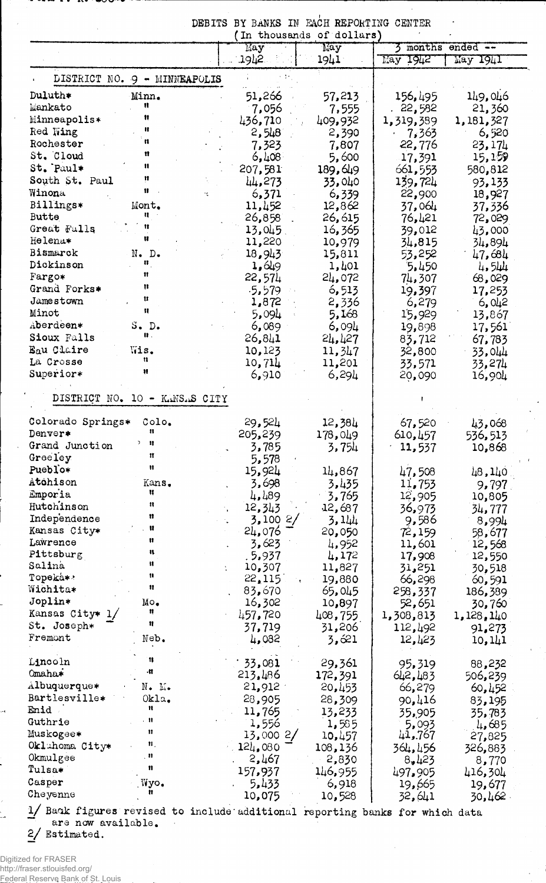|                                                                                                                                      |                                      |    | May              | May              |                              | 3 months ended -- |
|--------------------------------------------------------------------------------------------------------------------------------------|--------------------------------------|----|------------------|------------------|------------------------------|-------------------|
|                                                                                                                                      |                                      |    | .1942.           | 1941             | $\overline{\text{May }1942}$ | May 1941          |
| DISTRICT NO. 9 - MINNEAPOLIS                                                                                                         |                                      |    |                  |                  |                              |                   |
| Duluth*                                                                                                                              | $\mathbb{Min}_{\bullet}$             |    | 51,266           | 57,213           | 156,495                      | 149,046           |
| Mankato                                                                                                                              | Ħ                                    |    | 7,056            | 7,555            | . 22,582                     | 21,360            |
| Minneapolis*                                                                                                                         | Ħ                                    |    | 436,710          | 409,932          | 1,319,389                    | 1,181,327         |
| Red Wing                                                                                                                             | ĸ                                    |    | 2,548            | 2,390            | 7,363                        | 6,520             |
| Rochester                                                                                                                            | n                                    |    | 7,323            | 7,807            | 22,776                       | 23,174            |
| St. Cloud                                                                                                                            | n                                    |    | 6,408            | 5,600            | 17,391                       | 15,159            |
| St. Paul*                                                                                                                            | $\pmb{\ast}$                         |    | 207,581          | 189,649          | 661,553                      | 580,812           |
| South St. Paul                                                                                                                       | Ħ<br>Ħ                               |    | 44,273           | 33,040           | 139,724                      | 93,133            |
| Winona                                                                                                                               |                                      | ٠ć | 6,371            | 6,339            | 22,900                       | 18,927            |
| Billings*                                                                                                                            | Mont.<br>n                           |    | 11,452           | 12,862           | 37,064                       | 37,336            |
| <b>Butte</b><br>Great Falls                                                                                                          | Ħ                                    |    | 26,858           | 26,615           | 76,421                       | 72,029            |
| Helena*                                                                                                                              | u                                    |    | 13,045<br>11,220 | 16,365<br>10,979 | 39,012                       | 43,000            |
| Bismarck                                                                                                                             | $N$ . $D$ .                          |    | 18,943           |                  | 34,815                       | 34,894            |
| Dickinson                                                                                                                            | 8                                    |    | 1,649            | 15,811<br>1,401  | 53,252<br>5.450              | 47,684<br>4,544   |
| Fargo*                                                                                                                               | 11                                   |    | 22,574           | 24,072           | 74,307                       | 68,029            |
| Grand Forks*                                                                                                                         | n                                    |    | $-5.579$         | 6,513            | 19,397                       | 17,253            |
| Jamestown                                                                                                                            | Ħ                                    |    | 1,872            | 2,336            | 6,279                        | 6,042             |
| Minot                                                                                                                                | Ħ                                    |    | 5,094            | 5,168            | 15,929                       | 13,867            |
| Aberdeen*                                                                                                                            | S. D.                                |    | 6,089            | 6,094            | 19,898                       | 17,561            |
| Sioux Falls                                                                                                                          | ₩.                                   |    | 26,841           | 24,427           | 83,712                       | 67,783            |
| Eau Claire                                                                                                                           | Wis.                                 |    | 10,123           | 11,347           | 32,800                       | 33,044            |
| La Crosse                                                                                                                            | u                                    |    | 10,714           | 11,201           | 33,571                       | 33,274            |
| Superior*                                                                                                                            | Ħ                                    |    | 6,910            | 6,294            | 20,090                       | 16,904            |
| DISTRICT NO. 10 - KANSAS CITY                                                                                                        |                                      |    |                  |                  |                              |                   |
| Colorado Springs*                                                                                                                    | Colo.                                |    | 29,524           | 12,384           | 67,520                       | 43,068            |
| Denver*                                                                                                                              | 11<br>n                              |    | 205,239          | 178,049          | 610,457                      | 536,513           |
| Grand Junction                                                                                                                       | Ħ                                    |    | 3,785            | 3,754            | 11,537                       | 10,868            |
| Greeley                                                                                                                              | Ħ                                    |    | 5,578            |                  |                              |                   |
| Pueblo*                                                                                                                              |                                      |    | 15,924           | 14,867           | 47,508                       | 48,140            |
| Atohison                                                                                                                             | Kans.<br>u                           |    | 3,698            | 3,435            | 11,753                       | 9,797             |
| Emporia<br>Hutchinson                                                                                                                | $\mathbf{u}$                         |    | 4,489            | 3,765            | 12,905                       | 10,805            |
| Independence                                                                                                                         | n                                    |    | 12,343           | 12,687           | 36,973                       | 34,777            |
| Kansas City*                                                                                                                         | u                                    |    | 3,1002<br>24,076 | 3,144<br>20,050  | 9,586                        | 8,994             |
| Lawrence                                                                                                                             | Ħ                                    |    | 3,623            | 4,952            | 72,159<br>11,601             | 58,677<br>12,568  |
| Pittsburg                                                                                                                            | u                                    |    | . 5,937          | 4,172            | 17,908                       | 12,550            |
| Salina                                                                                                                               | ₩                                    |    | 10,307           | 11,827           | 31,251                       | 30,518            |
| Topeka*:                                                                                                                             | u                                    |    | 22,115           | 19,880           | 66,298                       | 60,591            |
| Wichita*                                                                                                                             | Ħ                                    |    | 83,670           | 65,045           | 258,337                      | 186,389           |
| Joplin*                                                                                                                              | Mo.                                  |    | 16,302           | 10,897           | 52,651                       | 30,760            |
| Kansas City* 1/                                                                                                                      | n                                    |    | 457,720          | 408,755          | 1,308,813                    | 1,128,140         |
| St. Joseph*                                                                                                                          | Ħ                                    |    | 37,719           | 31,206           | 112,492                      | 91,273            |
| Fremont                                                                                                                              | Neb.                                 |    | 4,082            | 3,621            | 12,423                       | 10,141            |
|                                                                                                                                      | 11                                   |    | 33,081           | 29,361           | 95,319                       |                   |
|                                                                                                                                      | ٠Ħ                                   |    | 213,486          | 172,391          | 642,483                      | 88,232            |
|                                                                                                                                      |                                      |    | 21,912           | 20,453           | 66,279                       | 506,239<br>60,452 |
|                                                                                                                                      |                                      |    | 28,905           | 28,309           | 90,416                       | 83,195            |
|                                                                                                                                      | $N_{\bullet}$ $\mathbb{N}_{\bullet}$ |    |                  |                  | 35,905                       | 35,783            |
|                                                                                                                                      | Okla.<br>Ħ                           |    |                  |                  |                              |                   |
|                                                                                                                                      | . n                                  |    | 11,765           | 13,233           |                              |                   |
|                                                                                                                                      | Ħ                                    |    | 1,556            | 1,585            | 5,093                        | 4,685             |
|                                                                                                                                      | $\mathfrak n$ ,                      |    | 13,000 2/        | 10,457           | 41,767                       | 27,825            |
|                                                                                                                                      | n                                    |    | 124,080          | 108,136          | 364,456                      | 326,883           |
|                                                                                                                                      | Ħ                                    |    | 2,467            | 2,830            | 8,423                        | 8,770             |
| Lincoln<br>Omaha*<br>Albuquerque*<br>Bartlesville*<br>Enid<br>Guthrie<br>Muskogee*<br>Oklahoma City*<br>Okmulgee<br>Tulsa*<br>Casper | Wyo.                                 |    | 157,937<br>5,433 | 146,955<br>6,918 | 497,905<br>19,665            | 416,304<br>19,677 |

 $\frac{2}{ }$  Estimated.

Digitized for FRASER<br>http://fraser.stlouisfed.org/<br><u>Fed</u>eral Reserve <u>Bank of St. Lo</u>uis

 $\overline{\phantom{a}}$